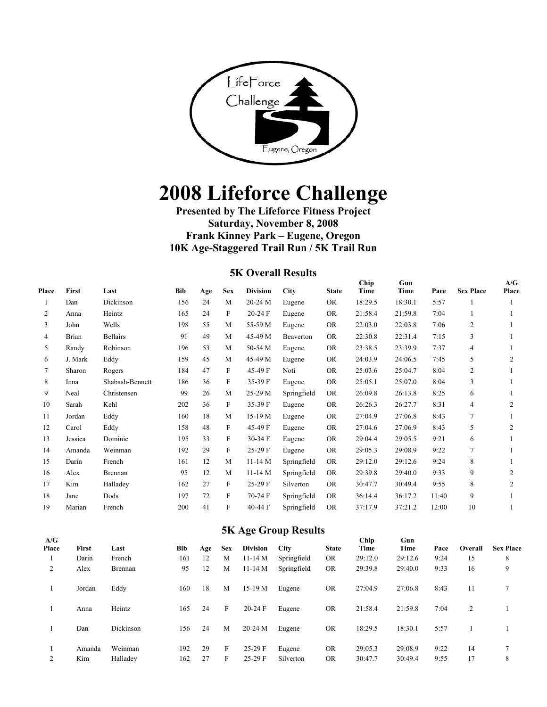

# **2008 Lifeforce Challenge**

## **Presented by The Lifeforce Fitness Project Saturday, November 8, 2008 Frank Kinney Park – Eugene, Oregon 10K Age-Staggered Trail Run / 5K Trail Run**

#### **5K Overall Results**

| Place | First   | Last            | Bib | Age | <b>Sex</b>   | <b>Division</b> | City        | <b>State</b> | Chip<br>Time | Gun<br>Time | Pace  | <b>Sex Place</b> | A/G<br>Place   |
|-------|---------|-----------------|-----|-----|--------------|-----------------|-------------|--------------|--------------|-------------|-------|------------------|----------------|
|       | Dan     | Dickinson       | 156 | 24  | M            | 20-24 M         | Eugene      | <b>OR</b>    | 18:29.5      | 18:30.1     | 5:57  |                  |                |
| 2     | Anna    | Heintz          | 165 | 24  | F            | 20-24 F         | Eugene      | <b>OR</b>    | 21:58.4      | 21:59.8     | 7:04  |                  |                |
| 3     | John    | Wells           | 198 | 55  | M            | 55-59 M         | Eugene      | <b>OR</b>    | 22:03.0      | 22:03.8     | 7:06  | 2                |                |
| 4     | Brian   | <b>Bellairs</b> | 91  | 49  | M            | 45-49 M         | Beaverton   | <b>OR</b>    | 22:30.8      | 22:31.4     | 7:15  | 3                |                |
| 5     | Randy   | Robinson        | 196 | 53  | M            | 50-54 M         | Eugene      | <b>OR</b>    | 23:38.5      | 23:39.9     | 7:37  | 4                |                |
| 6     | J. Mark | Eddy            | 159 | 45  | M            | 45-49 M         | Eugene      | <b>OR</b>    | 24:03.9      | 24:06.5     | 7:45  | 5                | $\overline{2}$ |
| 7     | Sharon  | Rogers          | 184 | 47  | F            | 45-49 F         | Noti        | <b>OR</b>    | 25:03.6      | 25:04.7     | 8:04  | $\overline{c}$   |                |
| 8     | Inna    | Shabash-Bennett | 186 | 36  | $\mathbf{F}$ | 35-39 F         | Eugene      | <b>OR</b>    | 25:05.1      | 25:07.0     | 8:04  | 3                |                |
| 9     | Neal    | Christensen     | 99  | 26  | M            | 25-29 M         | Springfield | <b>OR</b>    | 26:09.8      | 26:13.8     | 8:25  | 6                |                |
| 10    | Sarah   | Kehl            | 202 | 36  | F            | 35-39 F         | Eugene      | <b>OR</b>    | 26:26.3      | 26:27.7     | 8:31  | $\overline{4}$   | 2              |
| 11    | Jordan  | Eddy            | 160 | 18  | M            | 15-19 M         | Eugene      | <b>OR</b>    | 27:04.9      | 27:06.8     | 8:43  | $7\phantom{.0}$  |                |
| 12    | Carol   | Eddy            | 158 | 48  | F            | 45-49 F         | Eugene      | <b>OR</b>    | 27:04.6      | 27:06.9     | 8:43  | 5                | 2              |
| 13    | Jessica | Dominic         | 195 | 33  | F            | 30-34 F         | Eugene      | <b>OR</b>    | 29:04.4      | 29:05.5     | 9:21  | 6                |                |
| 14    | Amanda  | Weinman         | 192 | 29  | F            | 25-29 F         | Eugene      | <b>OR</b>    | 29:05.3      | 29:08.9     | 9:22  | $\tau$           |                |
| 15    | Darin   | French          | 161 | 12  | M            | $11-14M$        | Springfield | <b>OR</b>    | 29:12.0      | 29:12.6     | 9:24  | 8                |                |
| 16    | Alex    | Brennan         | 95  | 12  | M            | $11-14M$        | Springfield | <b>OR</b>    | 29:39.8      | 29:40.0     | 9:33  | 9                | $\overline{2}$ |
| 17    | Kim     | Halladey        | 162 | 27  | F            | 25-29 F         | Silverton   | <b>OR</b>    | 30:47.7      | 30:49.4     | 9:55  | 8                | $\overline{2}$ |
| 18    | Jane    | Dods            | 197 | 72  | F            | 70-74 F         | Springfield | <b>OR</b>    | 36:14.4      | 36:17.2     | 11:40 | 9                |                |
| 19    | Marian  | French          | 200 | 41  | F            | 40-44 F         | Springfield | <b>OR</b>    | 37:17.9      | 37:21.2     | 12:00 | 10               |                |

#### **5K Age Group Results**

|              |              |           |            |     |            | -               |             |              |              |             |      |         |                  |
|--------------|--------------|-----------|------------|-----|------------|-----------------|-------------|--------------|--------------|-------------|------|---------|------------------|
| A/G<br>Place | <b>First</b> | Last      | <b>Bib</b> | Age | <b>Sex</b> | <b>Division</b> | City        | <b>State</b> | Chip<br>Time | Gun<br>Time | Pace | Overall | <b>Sex Place</b> |
|              | Darin        | French    | 161        | 12  | M          | $11-14M$        | Springfield | <b>OR</b>    | 29:12.0      | 29:12.6     | 9:24 | 15      | 8                |
| 2            | Alex         | Brennan   | 95         | 12  | M          | $11-14M$        | Springfield | <b>OR</b>    | 29:39.8      | 29:40.0     | 9:33 | 16      | 9                |
|              | Jordan       | Eddy      | 160        | 18  | M          | 15-19 M         | Eugene      | <b>OR</b>    | 27:04.9      | 27:06.8     | 8:43 | 11      | 7                |
|              | Anna         | Heintz    | 165        | 24  | F          | $20-24$ F       | Eugene      | <b>OR</b>    | 21:58.4      | 21:59.8     | 7:04 | 2       |                  |
|              | Dan          | Dickinson | 156        | 24  | M          | 20-24 M         | Eugene      | <b>OR</b>    | 18:29.5      | 18:30.1     | 5:57 |         |                  |
|              | Amanda       | Weinman   | 192        | 29  | F          | $25-29$ F       | Eugene      | <b>OR</b>    | 29:05.3      | 29:08.9     | 9:22 | 14      | ┑                |
| 2            | Kim          | Halladev  | 162        | 27  | F          | $25-29$ F       | Silverton   | <b>OR</b>    | 30:47.7      | 30:49.4     | 9:55 | 17      | 8                |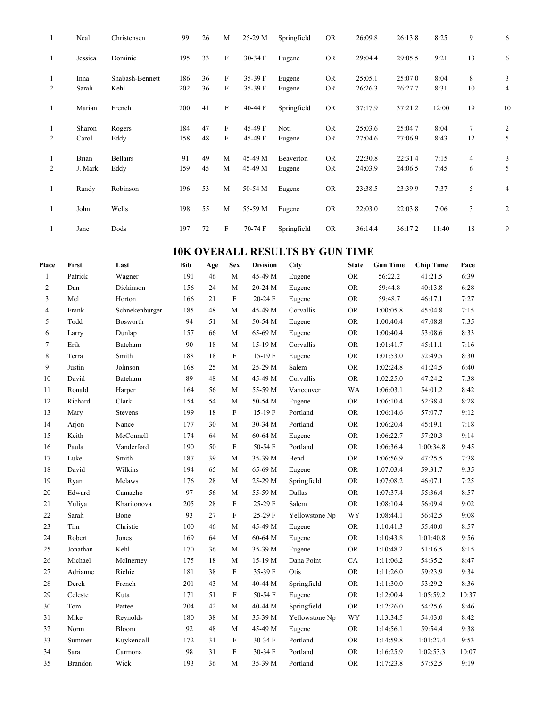| 1            | Neal         | Christensen     | 99  | 26 | M            | 25-29 M | Springfield | <b>OR</b> | 26:09.8 | 26:13.8 | 8:25  | 9              | 6              |
|--------------|--------------|-----------------|-----|----|--------------|---------|-------------|-----------|---------|---------|-------|----------------|----------------|
| 1            | Jessica      | Dominic         | 195 | 33 | $\mathbf F$  | 30-34 F | Eugene      | <b>OR</b> | 29:04.4 | 29:05.5 | 9:21  | 13             | 6              |
| 1            | Inna         | Shabash-Bennett | 186 | 36 | F            | 35-39 F | Eugene      | <b>OR</b> | 25:05.1 | 25:07.0 | 8:04  | 8              | 3              |
| 2            | Sarah        | Kehl            | 202 | 36 | F            | 35-39 F | Eugene      | <b>OR</b> | 26:26.3 | 26:27.7 | 8:31  | 10             | 4              |
| $\mathbf{1}$ | Marian       | French          | 200 | 41 | F            | 40-44 F | Springfield | <b>OR</b> | 37:17.9 | 37:21.2 | 12:00 | 19             | 10             |
| -1           | Sharon       | Rogers          | 184 | 47 | $\mathbf{F}$ | 45-49 F | Noti        | <b>OR</b> | 25:03.6 | 25:04.7 | 8:04  | $\overline{7}$ | $\overline{c}$ |
| 2            | Carol        | Eddy            | 158 | 48 | F            | 45-49 F | Eugene      | <b>OR</b> | 27:04.6 | 27:06.9 | 8:43  | 12             | 5              |
| $\mathbf{1}$ | <b>Brian</b> | <b>Bellairs</b> | 91  | 49 | M            | 45-49 M | Beaverton   | <b>OR</b> | 22:30.8 | 22:31.4 | 7:15  | $\overline{4}$ | 3              |
| 2            | J. Mark      | Eddy            | 159 | 45 | M            | 45-49 M | Eugene      | <b>OR</b> | 24:03.9 | 24:06.5 | 7:45  | 6              | 5              |
| 1            | Randy        | Robinson        | 196 | 53 | M            | 50-54 M | Eugene      | <b>OR</b> | 23:38.5 | 23:39.9 | 7:37  | 5              | 4              |
| $\mathbf{1}$ | John         | Wells           | 198 | 55 | M            | 55-59 M | Eugene      | <b>OR</b> | 22:03.0 | 22:03.8 | 7:06  | 3              | $\overline{c}$ |
|              | Jane         | Dods            | 197 | 72 | F            | 70-74 F | Springfield | <b>OR</b> | 36:14.4 | 36:17.2 | 11:40 | 18             | 9              |

# **10K OVERALL RESULTS BY GUN TIME**

| Place          | First          | Last           | <b>Bib</b> | Age | Sex                       | <b>Division</b> | City           | <b>State</b> | <b>Gun Time</b> | <b>Chip Time</b> | Pace  |
|----------------|----------------|----------------|------------|-----|---------------------------|-----------------|----------------|--------------|-----------------|------------------|-------|
| $\mathbf{1}$   | Patrick        | Wagner         | 191        | 46  | M                         | 45-49 M         | Eugene         | <b>OR</b>    | 56:22.2         | 41:21.5          | 6:39  |
| $\overline{c}$ | Dan            | Dickinson      | 156        | 24  | M                         | 20-24 M         | Eugene         | <b>OR</b>    | 59:44.8         | 40:13.8          | 6:28  |
| 3              | Mel            | Horton         | 166        | 21  | $\boldsymbol{\mathrm{F}}$ | 20-24 F         | Eugene         | ${\rm OR}$   | 59:48.7         | 46:17.1          | 7:27  |
| $\overline{4}$ | Frank          | Schnekenburger | 185        | 48  | M                         | 45-49 M         | Corvallis      | <b>OR</b>    | 1:00:05.8       | 45:04.8          | 7:15  |
| 5              | Todd           | Bosworth       | 94         | 51  | M                         | 50-54 M         | Eugene         | ${\rm OR}$   | 1:00:40.4       | 47:08.8          | 7:35  |
| 6              | Larry          | Dunlap         | 157        | 66  | M                         | 65-69 M         | Eugene         | ${\rm OR}$   | 1:00:40.4       | 53:08.6          | 8:33  |
| $\tau$         | Erik           | Bateham        | 90         | 18  | M                         | 15-19 M         | Corvallis      | <b>OR</b>    | 1:01:41.7       | 45:11.1          | 7:16  |
| 8              | Terra          | Smith          | 188        | 18  | F                         | $15-19F$        | Eugene         | <b>OR</b>    | 1:01:53.0       | 52:49.5          | 8:30  |
| 9              | Justin         | Johnson        | 168        | 25  | М                         | 25-29 M         | Salem          | ${\rm OR}$   | 1:02:24.8       | 41:24.5          | 6:40  |
| 10             | David          | Bateham        | 89         | 48  | M                         | 45-49 M         | Corvallis      | <b>OR</b>    | 1:02:25.0       | 47:24.2          | 7:38  |
| 11             | Ronald         | Harper         | 164        | 56  | M                         | 55-59 M         | Vancouver      | <b>WA</b>    | 1:06:03.1       | 54:01.2          | 8:42  |
| 12             | Richard        | Clark          | 154        | 54  | M                         | 50-54 M         | Eugene         | ${\rm OR}$   | 1:06:10.4       | 52:38.4          | 8:28  |
| 13             | Mary           | <b>Stevens</b> | 199        | 18  | $\mathbf{F}$              | 15-19 F         | Portland       | <b>OR</b>    | 1:06:14.6       | 57:07.7          | 9:12  |
| 14             | Arjon          | Nance          | 177        | 30  | M                         | 30-34 M         | Portland       | ${\rm OR}$   | 1:06:20.4       | 45:19.1          | 7:18  |
| 15             | Keith          | McConnell      | 174        | 64  | M                         | 60-64 M         | Eugene         | ${\rm OR}$   | 1:06:22.7       | 57:20.3          | 9:14  |
| 16             | Paula          | Vanderford     | 190        | 50  | $\mathbf F$               | 50-54 F         | Portland       | ${\rm OR}$   | 1:06:36.4       | 1:00:34.8        | 9:45  |
| 17             | Luke           | Smith          | 187        | 39  | M                         | 35-39 M         | Bend           | ${\rm OR}$   | 1:06:56.9       | 47:25.5          | 7:38  |
| 18             | David          | Wilkins        | 194        | 65  | M                         | 65-69 M         | Eugene         | <b>OR</b>    | 1:07:03.4       | 59:31.7          | 9:35  |
| 19             | Ryan           | Mclaws         | 176        | 28  | M                         | 25-29 M         | Springfield    | <b>OR</b>    | 1:07:08.2       | 46:07.1          | 7:25  |
| $20\,$         | Edward         | Camacho        | 97         | 56  | M                         | 55-59 M         | Dallas         | ${\rm OR}$   | 1:07:37.4       | 55:36.4          | 8:57  |
| 21             | Yuliya         | Kharitonova    | 205        | 28  | $\mathbf{F}$              | 25-29 F         | Salem          | <b>OR</b>    | 1:08:10.4       | 56:09.4          | 9:02  |
| 22             | Sarah          | Bone           | 93         | 27  | F                         | $25-29$ F       | Yellowstone Np | WY           | 1:08:44.1       | 56:42.5          | 9:08  |
| 23             | Tim            | Christie       | 100        | 46  | M                         | 45-49 M         | Eugene         | ${\rm OR}$   | 1:10:41.3       | 55:40.0          | 8:57  |
| 24             | Robert         | Jones          | 169        | 64  | M                         | 60-64 M         | Eugene         | <b>OR</b>    | 1:10:43.8       | 1:01:40.8        | 9:56  |
| 25             | Jonathan       | Kehl           | 170        | 36  | M                         | 35-39 M         | Eugene         | <b>OR</b>    | 1:10:48.2       | 51:16.5          | 8:15  |
| 26             | Michael        | McInerney      | 175        | 18  | M                         | 15-19 M         | Dana Point     | ${\rm CA}$   | 1:11:06.2       | 54:35.2          | 8:47  |
| 27             | Adrianne       | Richie         | 181        | 38  | $\mathbf{F}$              | 35-39 F         | Otis           | <b>OR</b>    | 1:11:26.0       | 59:23.9          | 9:34  |
| 28             | Derek          | French         | 201        | 43  | M                         | 40-44 M         | Springfield    | ${\rm OR}$   | 1:11:30.0       | 53:29.2          | 8:36  |
| 29             | Celeste        | Kuta           | 171        | 51  | $\mathbf F$               | 50-54 F         | Eugene         | <b>OR</b>    | 1:12:00.4       | 1:05:59.2        | 10:37 |
| 30             | Tom            | Pattee         | 204        | 42  | M                         | 40-44 M         | Springfield    | <b>OR</b>    | 1:12:26.0       | 54:25.6          | 8:46  |
| 31             | Mike           | Reynolds       | 180        | 38  | M                         | 35-39 M         | Yellowstone Np | WY           | 1:13:34.5       | 54:03.0          | 8:42  |
| 32             | Norm           | Bloom          | 92         | 48  | M                         | 45-49 M         | Eugene         | <b>OR</b>    | 1:14:56.1       | 59:54.4          | 9:38  |
| 33             | Summer         | Kuykendall     | 172        | 31  | F                         | 30-34 F         | Portland       | <b>OR</b>    | 1:14:59.8       | 1:01:27.4        | 9:53  |
| 34             | Sara           | Carmona        | 98         | 31  | $\mathbf{F}$              | 30-34 F         | Portland       | ${\rm OR}$   | 1:16:25.9       | 1:02:53.3        | 10:07 |
| 35             | <b>Brandon</b> | Wick           | 193        | 36  | M                         | 35-39 M         | Portland       | <b>OR</b>    | 1:17:23.8       | 57:52.5          | 9:19  |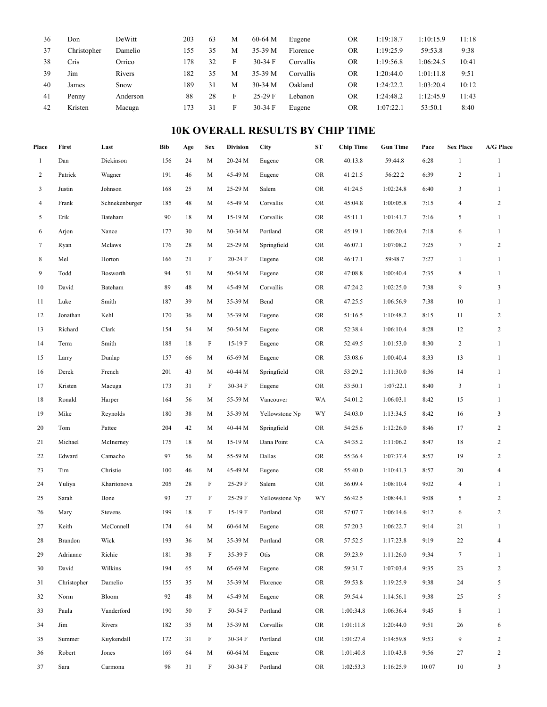| 36 | Don         | DeWitt   | 203  | 63 | M | $60-64$ M | Eugene    | OR | 1:19:18.7 | 1:10:15.9 | 11:18 |
|----|-------------|----------|------|----|---|-----------|-----------|----|-----------|-----------|-------|
| 37 | Christopher | Damelio  | l 55 | 35 | М | 35-39 M   | Florence  | OR | 1:19:25.9 | 59:53.8   | 9:38  |
| 38 | Cris        | Orrico   | 178  | 32 | н | $30-34$ F | Corvallis | OR | 1:19:56.8 | 1:06:24.5 | 10:41 |
| 39 | Jım         | Rivers   | 182  | 35 | М | 35-39 M   | Corvallis | OR | 1:20:44.0 | 1:01:11.8 | 9:51  |
| 40 | James       | Snow     | 189  | 31 | М | $30-34$ M | Oakland   | OR | 1:24:22.2 | 1:03:20.4 | 10:12 |
| 41 | Penny       | Anderson | 88   | 28 | ы | $25-29$ F | Lebanon   | OR | 1:24:48.2 | 1:12:45.9 | 11:43 |
| 42 | Kristen     | Macuga   | 73ء  | 31 | ы | $30-34$ F | Eugene    | OR | 1:07:22.1 | 53:50.1   | 8:40  |

# **10K OVERALL RESULTS BY CHIP TIME**

| Place          | First       | Last           | <b>Bib</b> | Age | <b>Sex</b> | <b>Division</b> | City           | ${\bf S}{\bf T}$ | <b>Chip Time</b> | <b>Gun Time</b> | Pace  | <b>Sex Place</b> | A/G Place      |
|----------------|-------------|----------------|------------|-----|------------|-----------------|----------------|------------------|------------------|-----------------|-------|------------------|----------------|
| $\mathbf{1}$   | Dan         | Dickinson      | 156        | 24  | M          | 20-24 M         | Eugene         | <b>OR</b>        | 40:13.8          | 59:44.8         | 6:28  | $\mathbf{1}$     | $\mathbf{1}$   |
| $\overline{2}$ | Patrick     | Wagner         | 191        | 46  | M          | 45-49 M         | Eugene         | OR               | 41:21.5          | 56:22.2         | 6:39  | $\overline{c}$   | $\mathbf{1}$   |
| 3              | Justin      | Johnson        | 168        | 25  | M          | 25-29 M         | Salem          | <b>OR</b>        | 41:24.5          | 1:02:24.8       | 6:40  | 3                | $\mathbf{1}$   |
| 4              | Frank       | Schnekenburger | 185        | 48  | M          | 45-49 M         | Corvallis      | <b>OR</b>        | 45:04.8          | 1:00:05.8       | 7:15  | $\overline{4}$   | $\sqrt{2}$     |
| 5              | Erik        | Bateham        | 90         | 18  | M          | 15-19 M         | Corvallis      | OR               | 45:11.1          | 1:01:41.7       | 7:16  | 5                | $\mathbf{1}$   |
| 6              | Arjon       | Nance          | 177        | 30  | M          | 30-34 M         | Portland       | ${\rm OR}$       | 45:19.1          | 1:06:20.4       | 7:18  | 6                | $\mathbf{1}$   |
| 7              | Ryan        | Mclaws         | 176        | 28  | M          | 25-29 M         | Springfield    | <b>OR</b>        | 46:07.1          | 1:07:08.2       | 7:25  | 7                | $\sqrt{2}$     |
| 8              | Mel         | Horton         | 166        | 21  | F          | $20-24F$        | Eugene         | OR               | 46:17.1          | 59:48.7         | 7:27  | $\mathbf{1}$     | $\mathbf{1}$   |
| 9              | Todd        | Bosworth       | 94         | 51  | M          | 50-54 M         | Eugene         | OR               | 47:08.8          | 1:00:40.4       | 7:35  | 8                | $\mathbf{1}$   |
| 10             | David       | Bateham        | 89         | 48  | M          | 45-49 M         | Corvallis      | ${\rm OR}$       | 47:24.2          | 1:02:25.0       | 7:38  | 9                | 3              |
| 11             | Luke        | Smith          | 187        | 39  | M          | 35-39 M         | Bend           | <b>OR</b>        | 47:25.5          | 1:06:56.9       | 7:38  | 10               | $\mathbf{1}$   |
| 12             | Jonathan    | Kehl           | 170        | 36  | M          | 35-39 M         | Eugene         | <b>OR</b>        | 51:16.5          | 1:10:48.2       | 8:15  | 11               | $\sqrt{2}$     |
| 13             | Richard     | Clark          | 154        | 54  | M          | 50-54 M         | Eugene         | <b>OR</b>        | 52:38.4          | 1:06:10.4       | 8:28  | 12               | $\sqrt{2}$     |
| 14             | Terra       | Smith          | 188        | 18  | F          | 15-19 F         | Eugene         | OR               | 52:49.5          | 1:01:53.0       | 8:30  | $\overline{c}$   | $\mathbf{1}$   |
| 15             | Larry       | Dunlap         | 157        | 66  | M          | 65-69 M         | Eugene         | OR               | 53:08.6          | 1:00:40.4       | 8:33  | 13               | $\mathbf{1}$   |
| 16             | Derek       | French         | 201        | 43  | M          | 40-44 M         | Springfield    | OR               | 53:29.2          | 1:11:30.0       | 8:36  | 14               | $\mathbf{1}$   |
| 17             | Kristen     | Macuga         | 173        | 31  | F          | 30-34 F         | Eugene         | <b>OR</b>        | 53:50.1          | 1:07:22.1       | 8:40  | 3                | $\mathbf{1}$   |
| 18             | Ronald      | Harper         | 164        | 56  | M          | 55-59 M         | Vancouver      | WA               | 54:01.2          | 1:06:03.1       | 8:42  | 15               | $\mathbf{1}$   |
| 19             | Mike        | Reynolds       | 180        | 38  | M          | 35-39 M         | Yellowstone Np | WY               | 54:03.0          | 1:13:34.5       | 8:42  | 16               | $\mathfrak{Z}$ |
| $20\,$         | Tom         | Pattee         | 204        | 42  | M          | 40-44 M         | Springfield    | <b>OR</b>        | 54:25.6          | 1:12:26.0       | 8:46  | 17               | $\sqrt{2}$     |
| 21             | Michael     | McInerney      | 175        | 18  | M          | 15-19 M         | Dana Point     | CA               | 54:35.2          | 1:11:06.2       | 8:47  | 18               | $\sqrt{2}$     |
| 22             | Edward      | Camacho        | 97         | 56  | M          | 55-59 M         | Dallas         | ${\rm OR}$       | 55:36.4          | 1:07:37.4       | 8:57  | 19               | $\overline{2}$ |
| 23             | Tim         | Christie       | 100        | 46  | M          | 45-49 M         | Eugene         | <b>OR</b>        | 55:40.0          | 1:10:41.3       | 8:57  | 20               | 4              |
| 24             | Yuliya      | Kharitonova    | 205        | 28  | F          | 25-29 F         | Salem          | OR               | 56:09.4          | 1:08:10.4       | 9:02  | $\overline{4}$   | $\mathbf{1}$   |
| 25             | Sarah       | Bone           | 93         | 27  | F          | 25-29 F         | Yellowstone Np | WY               | 56:42.5          | 1:08:44.1       | 9:08  | 5                | $\sqrt{2}$     |
| 26             | Mary        | Stevens        | 199        | 18  | F          | 15-19 F         | Portland       | <b>OR</b>        | 57:07.7          | 1:06:14.6       | 9:12  | 6                | $\sqrt{2}$     |
| 27             | Keith       | McConnell      | 174        | 64  | M          | 60-64 M         | Eugene         | OR               | 57:20.3          | 1:06:22.7       | 9:14  | 21               | $\mathbf{1}$   |
| 28             | Brandon     | Wick           | 193        | 36  | M          | 35-39 M         | Portland       | OR               | 57:52.5          | 1:17:23.8       | 9:19  | 22               | 4              |
| 29             | Adrianne    | Richie         | 181        | 38  | F          | 35-39 F         | Otis           | <b>OR</b>        | 59:23.9          | 1:11:26.0       | 9:34  | $\tau$           | $\mathbf{1}$   |
| 30             | David       | Wilkins        | 194        | 65  | M          | 65-69 M         | Eugene         | OR               | 59:31.7          | 1:07:03.4       | 9:35  | 23               | $\overline{2}$ |
| 31             | Christopher | Damelio        | 155        | 35  | M          | 35-39 M         | Florence       | OR               | 59:53.8          | 1:19:25.9       | 9:38  | 24               | 5              |
| 32             | Norm        | Bloom          | 92         | 48  | M          | 45-49 M         | Eugene         | OR               | 59:54.4          | 1:14:56.1       | 9:38  | $25\,$           | 5              |
| 33             | Paula       | Vanderford     | 190        | 50  | F          | 50-54 F         | Portland       | OR               | 1:00:34.8        | 1:06:36.4       | 9:45  | 8                | $\mathbf{1}$   |
| 34             | Jim         | Rivers         | 182        | 35  | M          | 35-39 M         | Corvallis      | OR               | 1:01:11.8        | 1:20:44.0       | 9:51  | 26               | 6              |
| 35             | Summer      | Kuykendall     | 172        | 31  | F          | 30-34 F         | Portland       | OR               | 1:01:27.4        | 1:14:59.8       | 9:53  | 9                | $\overline{2}$ |
| 36             | Robert      | Jones          | 169        | 64  | M          | 60-64 M         | Eugene         | OR               | 1:01:40.8        | 1:10:43.8       | 9:56  | 27               | $\overline{c}$ |
| 37             | Sara        | Carmona        | 98         | 31  | F          | 30-34 F         | Portland       | OR               | 1:02:53.3        | 1:16:25.9       | 10:07 | $10\,$           | $\mathfrak{Z}$ |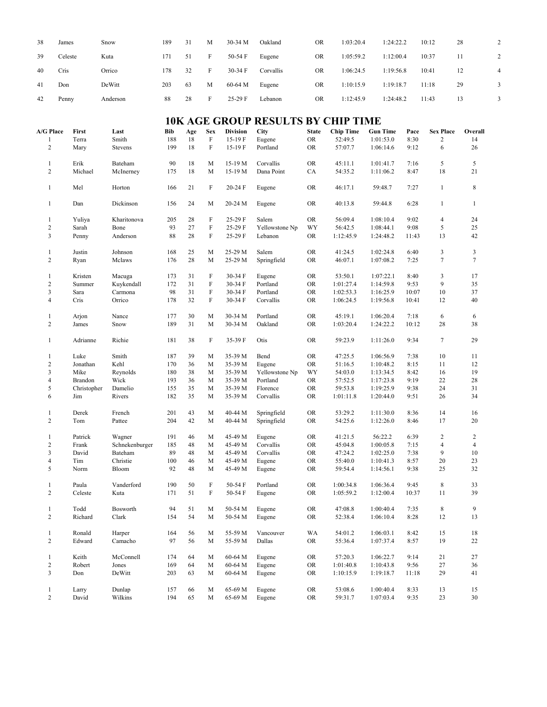| 38                             | James                  | Snow                                   | 189        | 31        | M               | 30-34 M                   | Oakland                                   | <b>OR</b>                 | 1:03:20.4                   | 1:24:22.2                    |              | 10:12                              | 28               | $\overline{c}$ |
|--------------------------------|------------------------|----------------------------------------|------------|-----------|-----------------|---------------------------|-------------------------------------------|---------------------------|-----------------------------|------------------------------|--------------|------------------------------------|------------------|----------------|
| 39                             | Celeste                | Kuta                                   | 171        | 51        | F               | 50-54 F                   | Eugene                                    | <b>OR</b>                 | 1:05:59.2                   | 1:12:00.4                    |              | 10:37                              | 11               | $\sqrt{2}$     |
| 40                             | Cris                   | Orrico                                 | 178        | 32        | F               | 30-34 F                   | Corvallis                                 | <b>OR</b>                 | 1:06:24.5                   | 1:19:56.8                    |              | 10:41                              | 12               | 4              |
| 41                             | Don                    | DeWitt                                 | 203        | 63        | M               | 60-64 M                   | Eugene                                    | <b>OR</b>                 | 1:10:15.9                   | 1:19:18.7                    |              | 11:18                              | 29               | 3              |
| 42                             | Penny                  | Anderson                               | 88         | 28        | $\rm F$         | 25-29 F                   | Lebanon                                   | <b>OR</b>                 | 1:12:45.9                   | 1:24:48.2                    |              | 11:43                              | 13               | 3              |
|                                |                        |                                        |            |           |                 |                           | <b>10K AGE GROUP RESULTS BY CHIP TIME</b> |                           |                             |                              |              |                                    |                  |                |
| A/G Place<br>$\mathbf{1}$      | First<br>Terra         | Last<br>Smith                          | Bib<br>188 | Age<br>18 | <b>Sex</b><br>F | <b>Division</b><br>15-19F | <b>City</b><br>Eugene                     | <b>State</b><br><b>OR</b> | <b>Chip Time</b><br>52:49.5 | <b>Gun Time</b><br>1:01:53.0 | Pace<br>8:30 | <b>Sex Place</b><br>$\overline{c}$ | Overall<br>14    |                |
| $\overline{2}$                 | Mary                   | <b>Stevens</b>                         | 199        | 18        | $\rm F$         | 15-19 F                   | Portland                                  | <b>OR</b>                 | 57:07.7                     | 1:06:14.6                    | 9:12         | 6                                  | 26               |                |
| $\mathbf{1}$                   | Erik                   | Bateham                                | 90         | 18        | M               | 15-19 M                   | Corvallis                                 | OR                        | 45:11.1                     | 1:01:41.7                    | 7:16         | 5                                  | 5                |                |
| $\overline{c}$                 | Michael                | McInerney                              | 175        | 18        | M               | 15-19 M                   | Dana Point                                | CA                        | 54:35.2                     | 1:11:06.2                    | 8:47         | 18                                 | 21               |                |
| $\mathbf{1}$                   | Mel                    | Horton                                 | 166        | 21        | $\rm F$         | 20-24 F                   | Eugene                                    | <b>OR</b>                 | 46:17.1                     | 59:48.7                      | 7:27         | $\mathbf{1}$                       | $\,8\,$          |                |
| $\mathbf{1}$                   | Dan                    | Dickinson                              | 156        | 24        | M               | 20-24 M                   | Eugene                                    | <b>OR</b>                 | 40:13.8                     | 59:44.8                      | 6:28         | $\mathbf{1}$                       | $\mathbf{1}$     |                |
| $\mathbf{1}$                   | Yuliya                 | Kharitonova                            | 205        | 28        | $\rm F$         | 25-29 F                   | Salem                                     | OR                        | 56:09.4                     | 1:08:10.4                    | 9:02         | $\overline{4}$                     | 24               |                |
| $\overline{c}$                 | Sarah                  | Bone                                   | 93         | 27        | $\rm F$         | 25-29 F                   | Yellowstone Np                            | WY                        | 56:42.5                     | 1:08:44.1                    | 9:08         | 5                                  | 25               |                |
| 3                              | Penny                  | Anderson                               | 88         | 28        | F               | 25-29 F                   | Lebanon                                   | <b>OR</b>                 | 1:12:45.9                   | 1:24:48.2                    | 11:43        | 13                                 | 42               |                |
| $\mathbf{1}$                   | Justin                 | Johnson                                | 168        | 25        | M               | 25-29 M                   | Salem                                     | <b>OR</b>                 | 41:24.5                     | 1:02:24.8                    | 6:40         | $\mathfrak{Z}$                     | 3                |                |
| $\overline{c}$                 | Ryan                   | Mclaws                                 | 176        | 28        | M               | 25-29 M                   | Springfield                               | <b>OR</b>                 | 46:07.1                     | 1:07:08.2                    | 7:25         | $\tau$                             | $\tau$           |                |
| $\mathbf{1}$                   | Kristen                | Macuga                                 | 173        | 31        | F               | 30-34 F                   | Eugene                                    | <b>OR</b>                 | 53:50.1                     | 1:07:22.1                    | 8:40         | 3                                  | 17               |                |
| $\overline{c}$                 | Summer                 | Kuykendall                             | 172        | 31        | F               | 30-34 F                   | Portland                                  | <b>OR</b>                 | 1:01:27.4                   | 1:14:59.8                    | 9:53         | 9                                  | 35               |                |
| 3                              | Sara                   | Carmona                                | 98         | 31        | $\rm F$         | 30-34 F                   | Portland                                  | <b>OR</b>                 | 1:02:53.3                   | 1:16:25.9                    | 10:07        | 10                                 | 37               |                |
| 4                              | Cris                   | Orrico                                 | 178        | 32        | $\rm F$         | 30-34 F                   | Corvallis                                 | <b>OR</b>                 | 1:06:24.5                   | 1:19:56.8                    | 10:41        | 12                                 | 40               |                |
| $\mathbf{1}$                   | Arjon                  | Nance                                  | 177        | 30        | M               | 30-34 M                   | Portland                                  | <b>OR</b>                 | 45:19.1                     | 1:06:20.4                    | 7:18         | 6                                  | 6                |                |
| $\overline{c}$                 | James                  | Snow                                   | 189        | 31        | M               | 30-34 M                   | Oakland                                   | <b>OR</b>                 | 1:03:20.4                   | 1:24:22.2                    | 10:12        | 28                                 | 38               |                |
| $\mathbf{1}$                   | Adrianne               | Richie                                 | 181        | 38        | F               | 35-39 F                   | Otis                                      | <b>OR</b>                 | 59:23.9                     | 1:11:26.0                    | 9:34         | $\tau$                             | 29               |                |
| $\mathbf{1}$                   | Luke                   | Smith                                  | 187        | 39        | M               | 35-39 M                   | Bend                                      | <b>OR</b>                 | 47:25.5                     | 1:06:56.9                    | 7:38         | 10                                 | 11               |                |
| $\overline{c}$                 | Jonathan               | Kehl                                   | 170        | 36        | M               | 35-39 M                   | Eugene                                    | OR                        | 51:16.5                     | 1:10:48.2                    | 8:15         | 11                                 | 12               |                |
| 3<br>$\overline{4}$            | Mike<br><b>Brandon</b> | Reynolds<br>Wick                       | 180<br>193 | 38<br>36  | М<br>M          | 35-39 M<br>35-39 M        | Yellowstone Np<br>Portland                | WY<br><b>OR</b>           | 54:03.0<br>57:52.5          | 1:13:34.5<br>1:17:23.8       | 8:42<br>9:19 | 16<br>22                           | 19<br>28         |                |
| 5                              | Christopher            | Damelio                                | 155        | 35        | M               | 35-39 M                   | Florence                                  | <b>OR</b>                 | 59:53.8                     | 1:19:25.9                    | 9:38         | 24                                 | 31               |                |
| 6                              | Jim                    | Rivers                                 | 182        | 35        | M               | 35-39 M                   | Corvallis                                 | <b>OR</b>                 | 1:01:11.8                   | 1:20:44.0                    | 9:51         | 26                                 | 34               |                |
|                                |                        |                                        |            |           |                 |                           |                                           |                           |                             |                              |              |                                    |                  |                |
| $\mathbf{1}$<br>$\overline{c}$ | Derek<br>Tom           | French<br>Pattee                       | 201<br>204 | 43<br>42  | M<br>M          | 40-44 M<br>40-44 M        | Springfield<br>Springfield                | <b>OR</b><br><b>OR</b>    | 53:29.2<br>54:25.6          | 1:11:30.0<br>1:12:26.0       | 8:36<br>8:46 | 14<br>17                           | 16<br>20         |                |
|                                |                        |                                        |            |           |                 |                           |                                           |                           |                             |                              |              |                                    |                  |                |
| $1\,$                          | Patrick                | $\ensuremath{\mathsf{W}}\xspace$ agner | 191        | 46        |                 | $M = 45-49 M$ Eugene      |                                           | <b>OR</b>                 | 41:21.5                     | 56:22.2                      | 6:39         | $\overline{2}$                     | $\overline{2}$   |                |
| 2                              | Frank                  | Schnekenburger                         | 185        | 48        | M               | 45-49 M                   | Corvallis                                 | OR                        | 45:04.8                     | 1:00:05.8                    | 7:15         | 4                                  | $\overline{4}$   |                |
| 3                              | David                  | Bateham                                | 89         | 48        | М               | 45-49 M                   | Corvallis                                 | <b>OR</b>                 | 47:24.2                     | 1:02:25.0                    | 7:38         | 9                                  | 10               |                |
| 4<br>5                         | Tim<br>Norm            | Christie<br>Bloom                      | 100<br>92  | 46<br>48  | M<br>M          | 45-49 M<br>45-49 M        | Eugene<br>Eugene                          | OR<br>OR                  | 55:40.0<br>59:54.4          | 1:10:41.3<br>1:14:56.1       | 8:57<br>9:38 | 20<br>25                           | 23<br>32         |                |
|                                |                        |                                        |            |           |                 |                           |                                           |                           |                             |                              |              |                                    |                  |                |
| $\mathbf{1}$                   | Paula                  | Vanderford                             | 190        | 50        | F               | 50-54 F                   | Portland                                  | <b>OR</b>                 | 1:00:34.8                   | 1:06:36.4                    | 9:45         | 8                                  | 33               |                |
| $\overline{c}$                 | Celeste                | Kuta                                   | 171        | 51        | F               | 50-54 F                   | Eugene                                    | OR                        | 1:05:59.2                   | 1:12:00.4                    | 10:37        | 11                                 | 39               |                |
| $\mathbf{1}$                   | Todd                   | Bosworth                               | 94         | 51        | M               | 50-54 M                   | Eugene                                    | ${\rm OR}$                | 47:08.8                     | 1:00:40.4                    | 7:35         | 8                                  | 9                |                |
| $\overline{c}$                 | Richard                | Clark                                  | 154        | 54        | M               | 50-54 M                   | Eugene                                    | OR                        | 52:38.4                     | 1:06:10.4                    | 8:28         | 12                                 | 13               |                |
|                                |                        |                                        |            |           |                 |                           |                                           |                           |                             |                              |              |                                    |                  |                |
| $\mathbf{1}$<br>$\overline{c}$ | Ronald<br>Edward       | Harper<br>Camacho                      | 164<br>97  | 56<br>56  | M<br>M          | 55-59 M<br>55-59 M        | Vancouver<br>Dallas                       | WA<br>OR                  | 54:01.2<br>55:36.4          | 1:06:03.1<br>1:07:37.4       | 8:42<br>8:57 | 15<br>19                           | $18\,$<br>$22\,$ |                |
|                                |                        |                                        |            |           |                 |                           |                                           |                           |                             |                              |              |                                    |                  |                |
| $\mathbf{1}$                   | Keith                  | McConnell                              | 174        | 64        | M               | 60-64 M                   | Eugene                                    | OR                        | 57:20.3                     | 1:06:22.7                    | 9:14         | 21                                 | 27               |                |
| $\overline{c}$                 | Robert                 | Jones                                  | 169        | 64        | M               | 60-64 M                   | Eugene                                    | ${\rm OR}$                | 1:01:40.8                   | 1:10:43.8                    | 9:56         | 27                                 | 36               |                |
| 3                              | Don                    | DeWitt                                 | 203        | 63        | M               | 60-64 M                   | Eugene                                    | <b>OR</b>                 | 1:10:15.9                   | 1:19:18.7                    | 11:18        | 29                                 | 41               |                |
| $\mathbf{1}$                   | Larry                  | Dunlap                                 | 157        | 66        | M               | 65-69 M                   | Eugene                                    | ${\rm OR}$                | 53:08.6                     | 1:00:40.4                    | 8:33         | 13                                 | 15               |                |
| $\overline{c}$                 | David                  | Wilkins                                | 194        | 65        | M               | 65-69 M                   | Eugene                                    | OR                        | 59:31.7                     | 1:07:03.4                    | 9:35         | 23                                 | $30\,$           |                |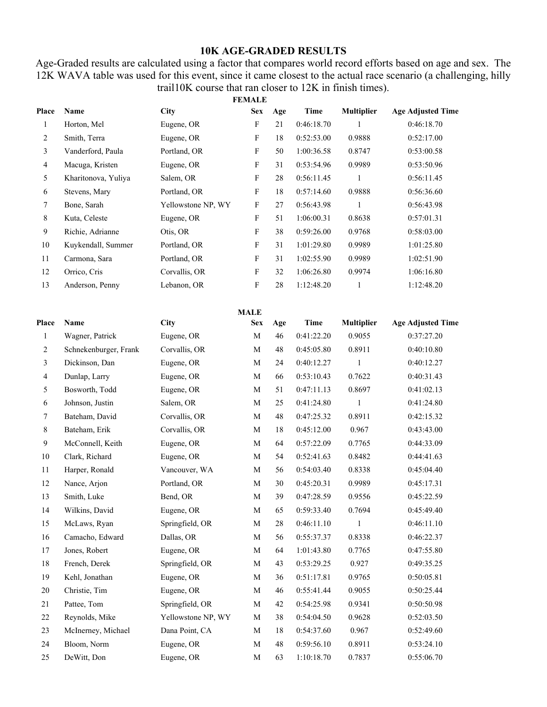## **10K AGE-GRADED RESULTS**

Age-Graded results are calculated using a factor that compares world record efforts based on age and sex. The 12K WAVA table was used for this event, since it came closest to the actual race scenario (a challenging, hilly trail10K course that ran closer to 12K in finish times).

|              |                       |                    | <b>FEMALE</b>             |     |             |                   |                          |
|--------------|-----------------------|--------------------|---------------------------|-----|-------------|-------------------|--------------------------|
| Place        | Name                  | <b>City</b>        | <b>Sex</b>                | Age | <b>Time</b> | <b>Multiplier</b> | <b>Age Adjusted Time</b> |
| $\mathbf{1}$ | Horton, Mel           | Eugene, OR         | $\boldsymbol{\mathrm{F}}$ | 21  | 0:46:18.70  | 1                 | 0:46:18.70               |
| 2            | Smith, Terra          | Eugene, OR         | $\boldsymbol{\mathrm{F}}$ | 18  | 0:52:53.00  | 0.9888            | 0:52:17.00               |
| 3            | Vanderford, Paula     | Portland, OR       | $\boldsymbol{\mathrm{F}}$ | 50  | 1:00:36.58  | 0.8747            | 0:53:00.58               |
| 4            | Macuga, Kristen       | Eugene, OR         | F                         | 31  | 0:53:54.96  | 0.9989            | 0:53:50.96               |
| 5            | Kharitonova, Yuliya   | Salem, OR          | F                         | 28  | 0:56:11.45  | 1                 | 0:56:11.45               |
| 6            | Stevens, Mary         | Portland, OR       | F                         | 18  | 0:57:14.60  | 0.9888            | 0:56:36.60               |
| 7            | Bone, Sarah           | Yellowstone NP, WY | F                         | 27  | 0:56:43.98  | $\mathbf{1}$      | 0:56:43.98               |
| 8            | Kuta, Celeste         | Eugene, OR         | F                         | 51  | 1:06:00.31  | 0.8638            | 0:57:01.31               |
| $\mathbf{9}$ | Richie, Adrianne      | Otis, OR           | $\boldsymbol{\mathrm{F}}$ | 38  | 0:59:26.00  | 0.9768            | 0:58:03.00               |
| $10\,$       | Kuykendall, Summer    | Portland, OR       | $\boldsymbol{\mathrm{F}}$ | 31  | 1:01:29.80  | 0.9989            | 1:01:25.80               |
| $11\,$       | Carmona, Sara         | Portland, OR       | $\boldsymbol{\mathrm{F}}$ | 31  | 1:02:55.90  | 0.9989            | 1:02:51.90               |
| 12           | Orrico, Cris          | Corvallis, OR      | F                         | 32  | 1:06:26.80  | 0.9974            | 1:06:16.80               |
| 13           | Anderson, Penny       | Lebanon, OR        | $\boldsymbol{\mathrm{F}}$ | 28  | 1:12:48.20  | $\mathbf{1}$      | 1:12:48.20               |
|              |                       |                    | <b>MALE</b>               |     |             |                   |                          |
| Place        | Name                  | City               | <b>Sex</b>                | Age | <b>Time</b> | <b>Multiplier</b> | <b>Age Adjusted Time</b> |
| $\mathbf{1}$ | Wagner, Patrick       | Eugene, OR         | M                         | 46  | 0:41:22.20  | 0.9055            | 0:37:27.20               |
| 2            | Schnekenburger, Frank | Corvallis, OR      | M                         | 48  | 0:45:05.80  | 0.8911            | 0:40:10.80               |
| 3            | Dickinson, Dan        | Eugene, OR         | M                         | 24  | 0:40:12.27  | 1                 | 0:40:12.27               |
| 4            | Dunlap, Larry         | Eugene, OR         | M                         | 66  | 0:53:10.43  | 0.7622            | 0:40:31.43               |
| 5            | Bosworth, Todd        | Eugene, OR         | М                         | 51  | 0:47:11.13  | 0.8697            | 0:41:02.13               |
| 6            | Johnson, Justin       | Salem, OR          | M                         | 25  | 0:41:24.80  | $\mathbf{1}$      | 0:41:24.80               |
| 7            | Bateham, David        | Corvallis, OR      | M                         | 48  | 0:47:25.32  | 0.8911            | 0:42:15.32               |
| 8            | Bateham, Erik         | Corvallis, OR      | M                         | 18  | 0:45:12.00  | 0.967             | 0:43:43.00               |
| 9            | McConnell, Keith      | Eugene, OR         | М                         | 64  | 0:57:22.09  | 0.7765            | 0:44:33.09               |
| $10\,$       | Clark, Richard        | Eugene, OR         | M                         | 54  | 0:52:41.63  | 0.8482            | 0:44:41.63               |
| 11           | Harper, Ronald        | Vancouver, WA      | M                         | 56  | 0:54:03.40  | 0.8338            | 0:45:04.40               |
| 12           | Nance, Arjon          | Portland, OR       | M                         | 30  | 0:45:20.31  | 0.9989            | 0:45:17.31               |
| 13           | Smith, Luke           | Bend, OR           | M                         | 39  | 0:47:28.59  | 0.9556            | 0:45:22.59               |
| 14           | Wilkins, David        | Eugene, OR         | M                         | 65  | 0:59:33.40  | 0.7694            | 0:45:49.40               |
| 15           | McLaws, Ryan          | Springfield, OR    | M                         | 28  | 0:46:11.10  | 1                 | 0:46:11.10               |
| 16           | Camacho, Edward       | Dallas, OR         | $\mathbf M$               | 56  | 0:55:37.37  | 0.8338            | 0:46:22.37               |
| 17           | Jones, Robert         | Eugene, OR         | M                         | 64  | 1:01:43.80  | 0.7765            | 0:47:55.80               |
| $18\,$       | French, Derek         | Springfield, OR    | M                         | 43  | 0:53:29.25  | 0.927             | 0:49:35.25               |
| 19           | Kehl, Jonathan        | Eugene, OR         | M                         | 36  | 0:51:17.81  | 0.9765            | 0:50:05.81               |
| $20\,$       | Christie, Tim         | Eugene, OR         | M                         | 46  | 0:55:41.44  | 0.9055            | 0:50:25.44               |
| 21           | Pattee, Tom           | Springfield, OR    | M                         | 42  | 0:54:25.98  | 0.9341            | 0:50:50.98               |
| 22           | Reynolds, Mike        | Yellowstone NP, WY | M                         | 38  | 0:54:04.50  | 0.9628            | 0:52:03.50               |
| 23           | McInerney, Michael    | Dana Point, CA     | M                         | 18  | 0:54:37.60  | 0.967             | 0:52:49.60               |
| 24           | Bloom, Norm           | Eugene, OR         | M                         | 48  | 0:59:56.10  | 0.8911            | 0:53:24.10               |
| 25           | DeWitt, Don           | Eugene, OR         | $\mathbf M$               | 63  | 1:10:18.70  | 0.7837            | 0:55:06.70               |